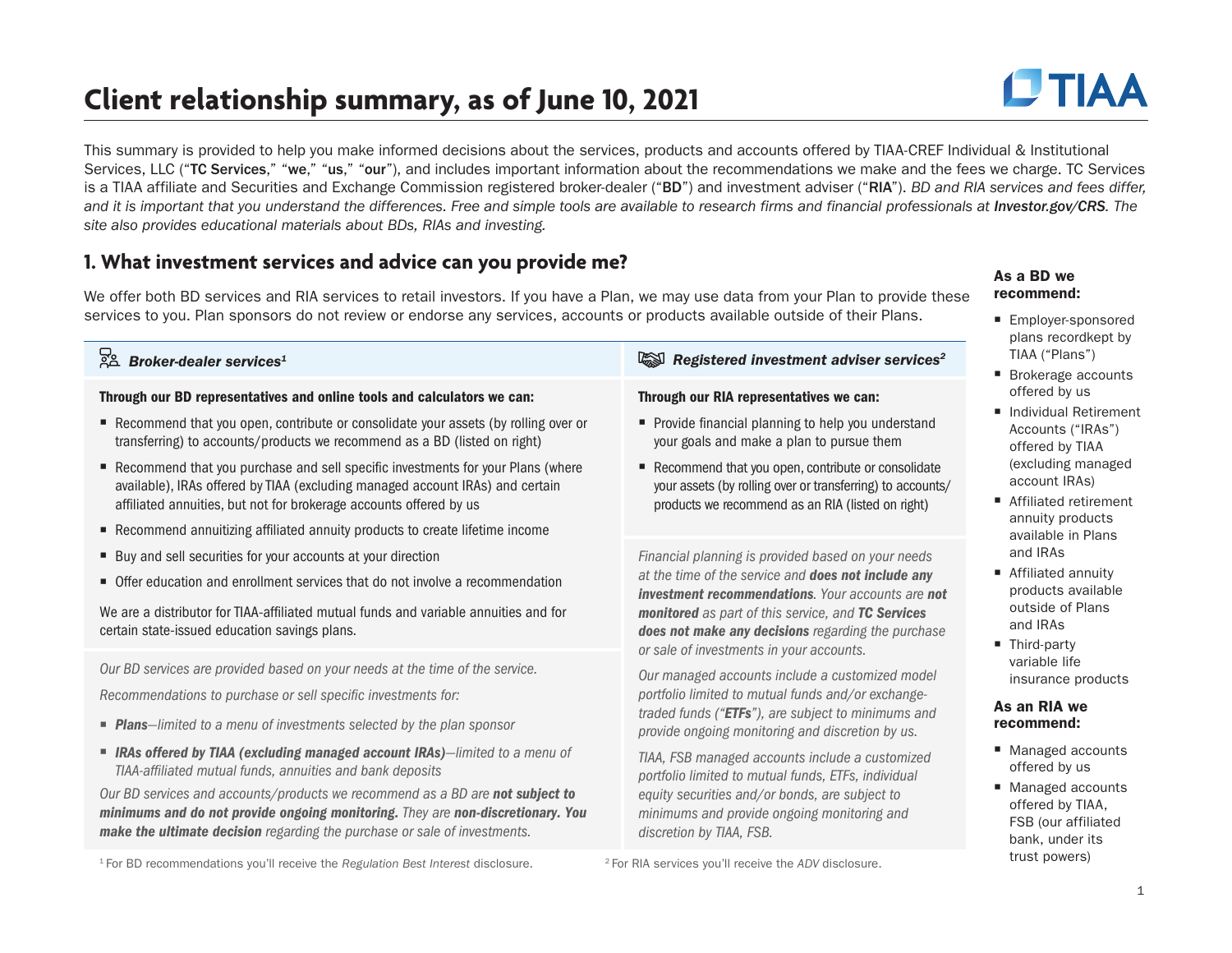## **Client relationship summary, as of June 10, 2021**

**DTIAA** 

This summary is provided to help you make informed decisions about the services, products and accounts offered by TIAA-CREF Individual & Institutional Services, LLC ("TC Services," "we," "us," "our"), and includes important information about the recommendations we make and the fees we charge. TC Services is a TIAA affiliate and Securities and Exchange Commission registered broker-dealer ("BD") and investment adviser ("RIA"). *BD and RIA services and fees differ, and it is important that you understand the differences. Free and simple tools are available to research firms and financial professionals at [Investor.gov/CRS](http://www.Investor.gov/CRS). The site also provides educational materials about BDs, RIAs and investing.*

### **1. What investment services and advice can you provide me?**

We offer both BD services and RIA services to retail investors. If you have a Plan, we may use data from your Plan to provide these services to you. Plan sponsors do not review or endorse any services, accounts or products available outside of their Plans.

| Broker-dealer services <sup>1</sup>                                                                                                                                                                                                                                                                                   | Registered investment adviser services <sup>2</sup>                                                                                                                   | TIAA ("Plans"<br>Brokerage ac                                        |
|-----------------------------------------------------------------------------------------------------------------------------------------------------------------------------------------------------------------------------------------------------------------------------------------------------------------------|-----------------------------------------------------------------------------------------------------------------------------------------------------------------------|----------------------------------------------------------------------|
| Through our BD representatives and online tools and calculators we can:                                                                                                                                                                                                                                               | Through our RIA representatives we can:                                                                                                                               | offered by us                                                        |
| Recommend that you open, contribute or consolidate your assets (by rolling over or<br>transferring) to accounts/products we recommend as a BD (listed on right)                                                                                                                                                       | Provide financial planning to help you understand<br>your goals and make a plan to pursue them                                                                        | Individual Ret<br>Accounts ("IR<br>offered by TIA                    |
| Recommend that you purchase and sell specific investments for your Plans (where<br>available), IRAs offered by TIAA (excluding managed account IRAs) and certain<br>affiliated annuities, but not for brokerage accounts offered by us<br>Recommend annuitizing affiliated annuity products to create lifetime income | Recommend that you open, contribute or consolidate<br>your assets (by rolling over or transferring) to accounts/<br>products we recommend as an RIA (listed on right) | (excluding ma<br>account IRAs<br>■ Affiliated retir<br>annuity produ |
| ■ Buy and sell securities for your accounts at your direction                                                                                                                                                                                                                                                         | Financial planning is provided based on your needs                                                                                                                    | available in P<br>and IRAs                                           |
| • Offer education and enrollment services that do not involve a recommendation                                                                                                                                                                                                                                        | at the time of the service and does not include any<br><b>investment recommendations.</b> Your accounts are not                                                       | ■ Affiliated ann<br>products avai                                    |
| We are a distributor for TIAA-affiliated mutual funds and variable annuities and for<br>certain state-issued education savings plans.                                                                                                                                                                                 | monitored as part of this service, and TC Services<br>does not make any decisions regarding the purchase<br>or sale of investments in your accounts.                  | outside of Pla<br>and <b>IRAs</b><br>■ Third-party                   |
| Our BD services are provided based on your needs at the time of the service.                                                                                                                                                                                                                                          | Our managed accounts include a customized model                                                                                                                       | variable life<br>insurance pro                                       |
| Recommendations to purchase or sell specific investments for:                                                                                                                                                                                                                                                         | portfolio limited to mutual funds and/or exchange-                                                                                                                    | As an RIA we                                                         |
| <b>Plans</b> -limited to a menu of investments selected by the plan sponsor                                                                                                                                                                                                                                           | traded funds ("ETFs"), are subject to minimums and<br>provide ongoing monitoring and discretion by us.                                                                | recommend:                                                           |
| <b>E</b> IRAs offered by TIAA (excluding managed account IRAs)-limited to a menu of<br>TIAA-affiliated mutual funds, annuities and bank deposits                                                                                                                                                                      | TIAA, FSB managed accounts include a customized<br>portfolio limited to mutual funds, ETFs, individual                                                                | ■ Managed acc<br>offered by us                                       |
| Our BD services and accounts/products we recommend as a BD are not subject to<br>minimums and do not provide ongoing monitoring. They are non-discretionary. You<br>make the ultimate decision regarding the purchase or sale of investments.                                                                         | equity securities and/or bonds, are subject to<br>minimums and provide ongoing monitoring and<br>discretion by TIAA, FSB.                                             | ■ Managed acc<br>offered by TIA<br>FSB (our affili<br>bank, under i  |

1 For BD recommendations you'll receive the *Regulation Best Interest* disclosure. 2 For RIA services you'll receive the *ADV* disclosure.

#### As a BD we recommend:

- Employer-sponsored plans recordkept by  $")$
- ccounts offered by us
- etirement RAs") laa aanaged s)
- irement lucts Plans
- nuity ailable lans
- oducts<sup>.</sup>

- counts  $\mathsf{s}$
- counts IAA. iliated its trust powers)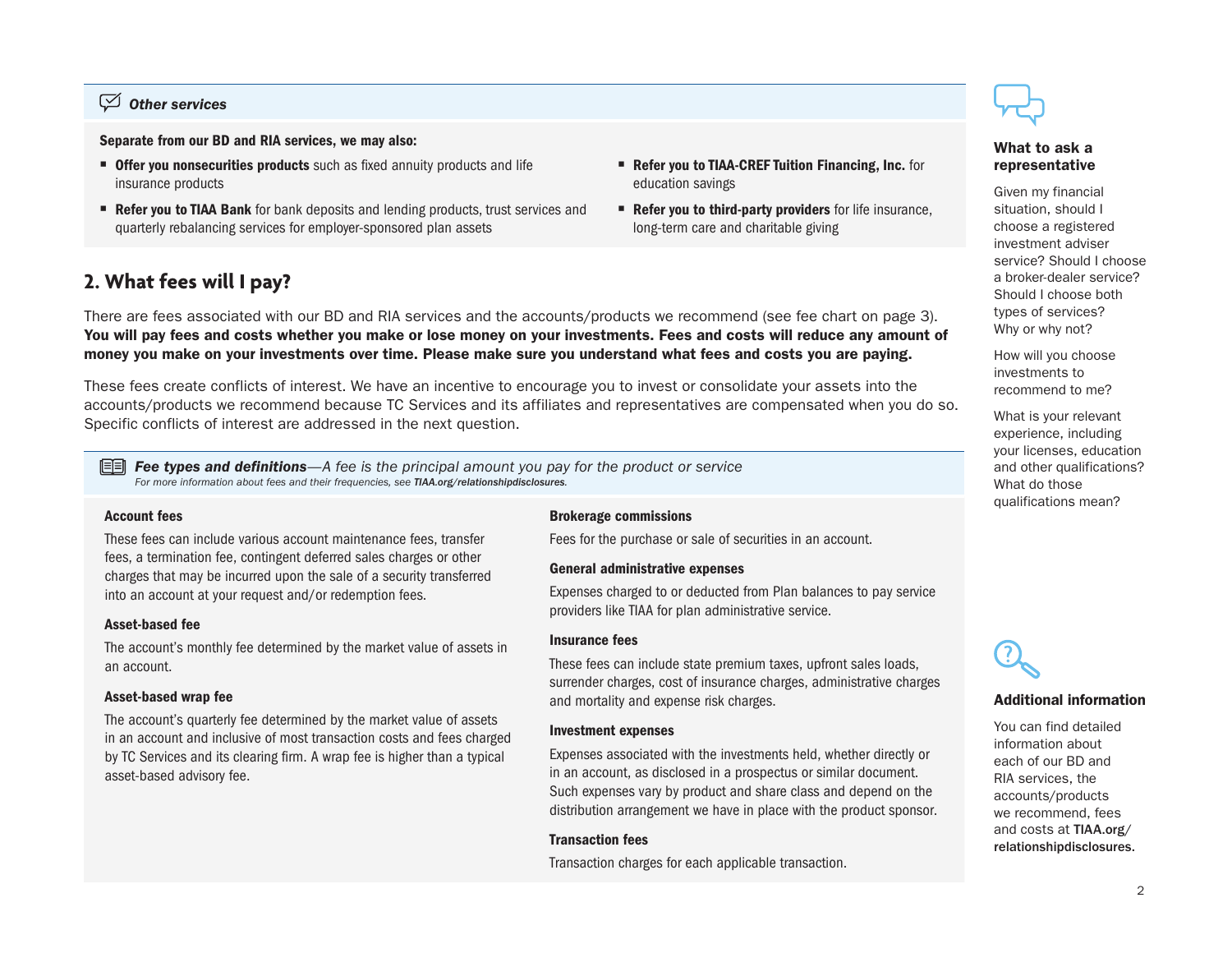#### *Other services*

Separate from our BD and RIA services, we may also:

- **Offer you nonsecurities products** such as fixed annuity products and life insurance products
- Refer you to TIAA Bank for bank deposits and lending products, trust services and quarterly rebalancing services for employer-sponsored plan assets
- **2. What fees will I pay?**



Refer you to third-party providers for life insurance, long-term care and charitable giving

#### There are fees associated with our BD and RIA services and the accounts/products we recommend (see fee chart on page 3). You will pay fees and costs whether you make or lose money on your investments. Fees and costs will reduce any amount of money you make on your investments over time. Please make sure you understand what fees and costs you are paying.

These fees create conflicts of interest. We have an incentive to encourage you to invest or consolidate your assets into the accounts/products we recommend because TC Services and its affiliates and representatives are compensated when you do so. Specific conflicts of interest are addressed in the next question.

 *Fee types and definitions—A fee is the principal amount you pay for the product or service For more information about fees and their frequencies, see [TIAA.org/relationshipdisclosures](http://TIAA.org/relationshipdisclosures).*

#### Account fees

These fees can include various account maintenance fees, transfer fees, a termination fee, contingent deferred sales charges or other charges that may be incurred upon the sale of a security transferred into an account at your request and/or redemption fees.

#### Asset-based fee

The account's monthly fee determined by the market value of assets in an account.

#### Asset-based wrap fee

The account's quarterly fee determined by the market value of assets in an account and inclusive of most transaction costs and fees charged by TC Services and its clearing firm. A wrap fee is higher than a typical asset-based advisory fee.

#### Brokerage commissions

Fees for the purchase or sale of securities in an account.

#### General administrative expenses

Expenses charged to or deducted from Plan balances to pay service providers like TIAA for plan administrative service.

#### Insurance fees

These fees can include state premium taxes, upfront sales loads, surrender charges, cost of insurance charges, administrative charges and mortality and expense risk charges.

#### Investment expenses

Expenses associated with the investments held, whether directly or in an account, as disclosed in a prospectus or similar document. Such expenses vary by product and share class and depend on the distribution arrangement we have in place with the product sponsor.

#### Transaction fees

Transaction charges for each applicable transaction.



#### What to ask a representative

Given my financial situation, should I choose a registered investment adviser service? Should I choose a broker-dealer service? Should I choose both types of services? Why or why not?

How will you choose investments to recommend to me?

What is your relevant experience, including your licenses, education and other qualifications? What do those qualifications mean?



#### Additional information

You can find detailed information about each of our BD and RIA services, the accounts/products we recommend, fees and costs at [TIAA.org/](http://TIAA.org/relationshipdisclosures) [relationshipdisclosures](http://TIAA.org/relationshipdisclosures).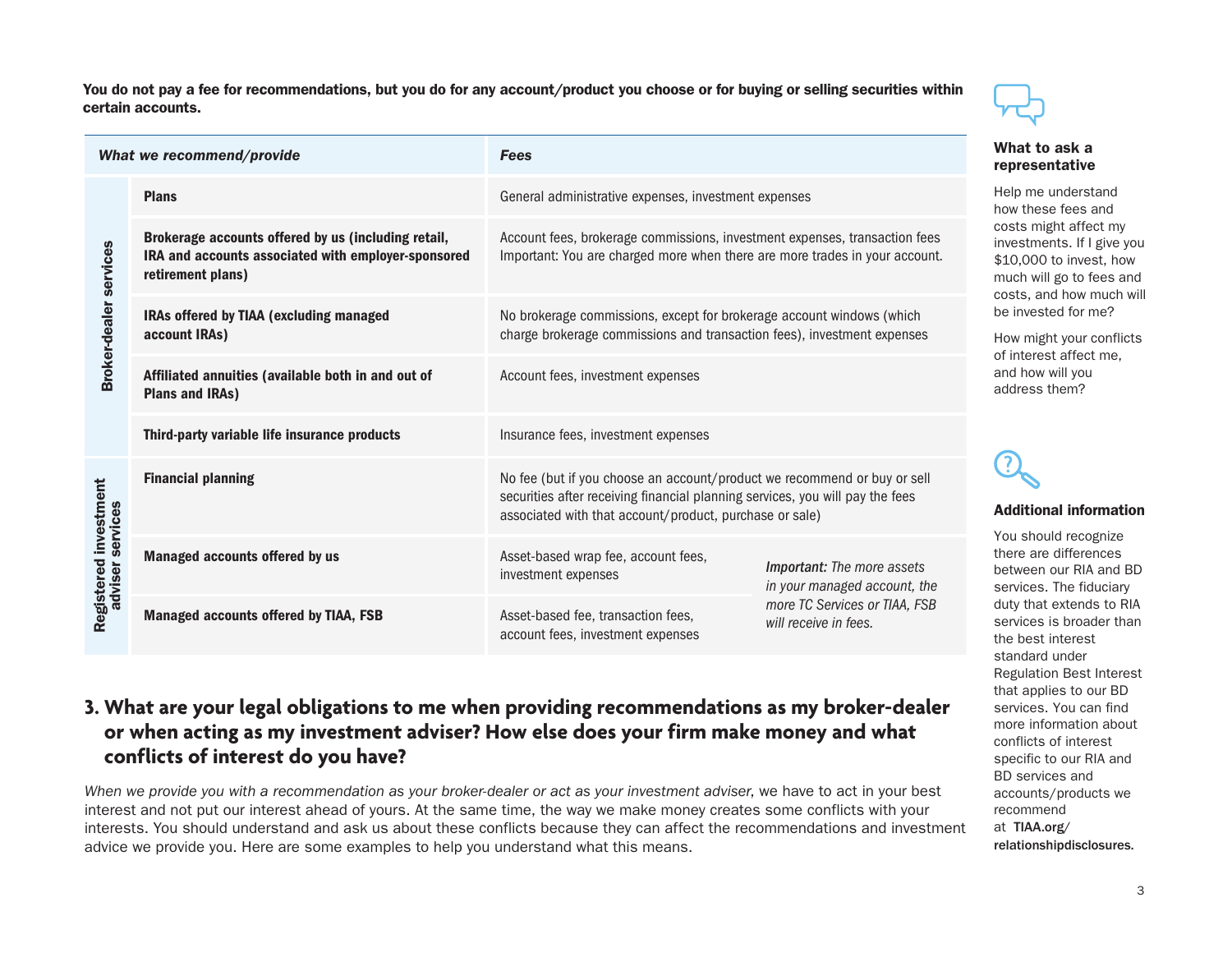You do not pay a fee for recommendations, but you do for any account/product you choose or for buying or selling securities within certain accounts.



#### What to ask a resentative

me understand these fees and ts might affect my stments. If I give you \$10,000 to invest, how h will go to fees and ts, and how much will nvested for me?

might your conflicts nterest affect me, how will you ress them?

#### **Iitional information**

should recognize e are differences veen our RIA and BD ices. The fiduciary that extends to RIA ices is broader than the best interest standard under Regulation Best Interest that applies to our BD services. You can find more information about conflicts of interest specific to our RIA and BD services and accounts/products we recommend at [TIAA.org/](http://TIAA.org/relationshipdisclosures) [relationshipdisclosures.](http://TIAA.org/relationshipdisclosures)

| What we recommend/provide                                                                                                                                                                                                                                                                    |                                                                              | <b>Fees</b>                                                                                                                                                                                                          |                                                        | VV 11<br>rep                               |
|----------------------------------------------------------------------------------------------------------------------------------------------------------------------------------------------------------------------------------------------------------------------------------------------|------------------------------------------------------------------------------|----------------------------------------------------------------------------------------------------------------------------------------------------------------------------------------------------------------------|--------------------------------------------------------|--------------------------------------------|
|                                                                                                                                                                                                                                                                                              | <b>Plans</b>                                                                 | General administrative expenses, investment expenses                                                                                                                                                                 |                                                        | Help<br>how                                |
| Brokerage accounts offered by us (including retail,<br>Account fees, brokerage commissions, investment expenses, transaction fees<br>IRA and accounts associated with employer-sponsored<br>Important: You are charged more when there are more trades in your account.<br>retirement plans) |                                                                              |                                                                                                                                                                                                                      |                                                        | cost<br><i>inve</i><br>\$10<br>muc<br>cost |
| <b>Broker-dealer services</b>                                                                                                                                                                                                                                                                | IRAs offered by TIAA (excluding managed<br>account IRAs)                     | No brokerage commissions, except for brokerage account windows (which<br>charge brokerage commissions and transaction fees), investment expenses                                                                     |                                                        |                                            |
|                                                                                                                                                                                                                                                                                              | Affiliated annuities (available both in and out of<br><b>Plans and IRAs)</b> | Account fees, investment expenses                                                                                                                                                                                    |                                                        | of in<br>and<br>addr                       |
|                                                                                                                                                                                                                                                                                              | Third-party variable life insurance products                                 | Insurance fees, investment expenses                                                                                                                                                                                  |                                                        |                                            |
| investment<br>services                                                                                                                                                                                                                                                                       | <b>Financial planning</b>                                                    | No fee (but if you choose an account/product we recommend or buy or sell<br>securities after receiving financial planning services, you will pay the fees<br>associated with that account/product, purchase or sale) |                                                        | 3<br>Add                                   |
|                                                                                                                                                                                                                                                                                              | <b>Managed accounts offered by us</b>                                        | Asset-based wrap fee, account fees,<br>Important: The more assets<br>investment expenses<br>in your managed account, the                                                                                             |                                                        | You<br>ther<br>bety<br>serv                |
| Registered<br>adviser s                                                                                                                                                                                                                                                                      | <b>Managed accounts offered by TIAA, FSB</b>                                 | Asset-based fee, transaction fees,<br>account fees, investment expenses                                                                                                                                              | more TC Services or TIAA, FSB<br>will receive in fees. | duty<br>serv<br>the I                      |

### **3. What are your legal obligations to me when providing recommendations as my broker-dealer or when acting as my investment adviser? How else does your firm make money and what conflicts of interest do you have?**

*When we provide you with a recommendation as your broker-dealer or act as your investment adviser*, we have to act in your best interest and not put our interest ahead of yours. At the same time, the way we make money creates some conflicts with your interests. You should understand and ask us about these conflicts because they can affect the recommendations and investment advice we provide you. Here are some examples to help you understand what this means.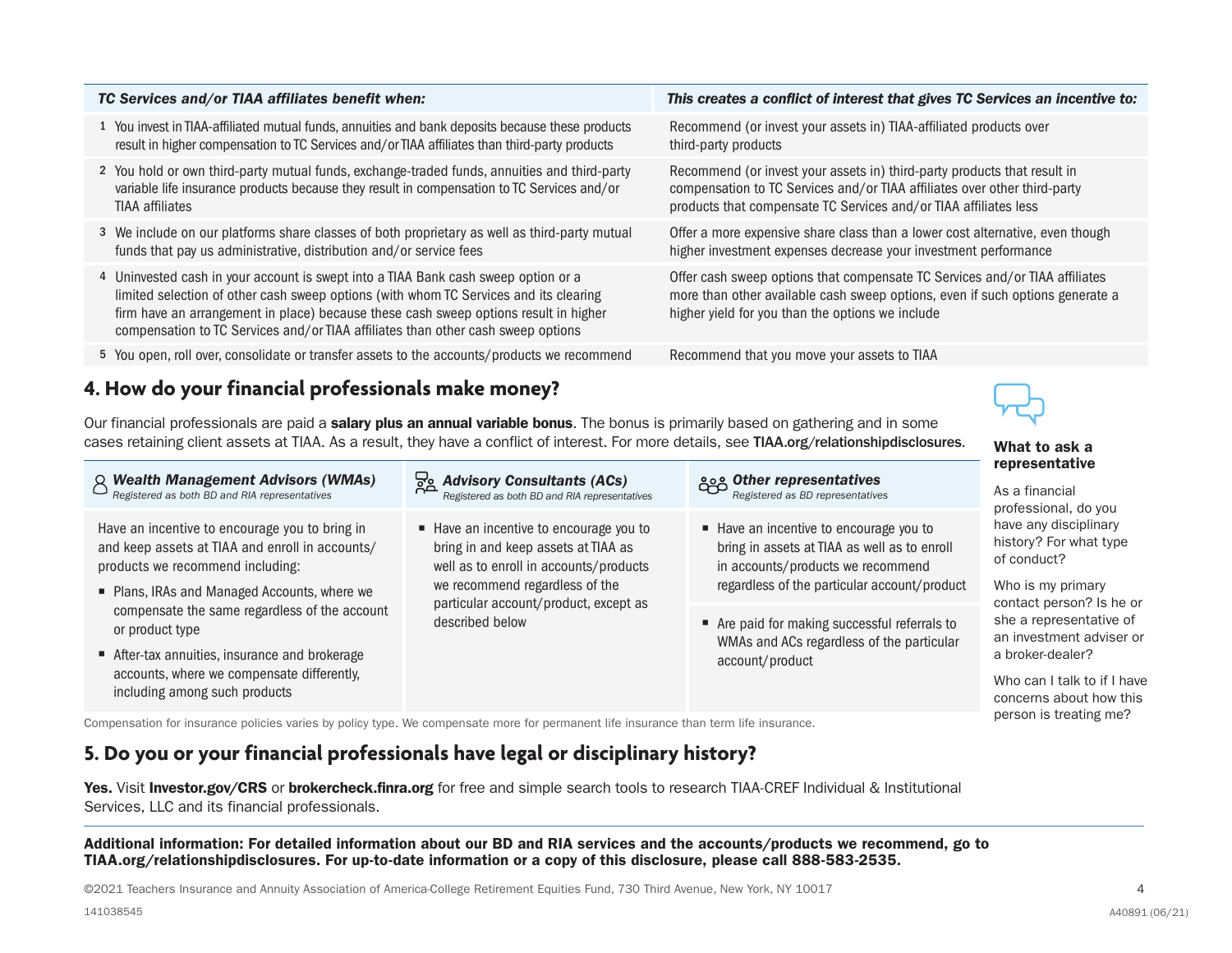| TC Services and/or TIAA affiliates benefit when:                                                                                                                                                                                                                                                                                                        | This creates a conflict of interest that gives TC Services an incentive to:                                                                                                                                               |
|---------------------------------------------------------------------------------------------------------------------------------------------------------------------------------------------------------------------------------------------------------------------------------------------------------------------------------------------------------|---------------------------------------------------------------------------------------------------------------------------------------------------------------------------------------------------------------------------|
| 1 You invest in TIAA-affiliated mutual funds, annuities and bank deposits because these products<br>result in higher compensation to TC Services and/or TIAA affiliates than third-party products                                                                                                                                                       | Recommend (or invest your assets in) TIAA-affiliated products over<br>third-party products                                                                                                                                |
| 2 You hold or own third-party mutual funds, exchange-traded funds, annuities and third-party<br>variable life insurance products because they result in compensation to TC Services and/or<br><b>TIAA</b> affiliates                                                                                                                                    | Recommend (or invest your assets in) third-party products that result in<br>compensation to TC Services and/or TIAA affiliates over other third-party<br>products that compensate TC Services and/or TIAA affiliates less |
| 3 We include on our platforms share classes of both proprietary as well as third-party mutual<br>funds that pay us administrative, distribution and/or service fees                                                                                                                                                                                     | Offer a more expensive share class than a lower cost alternative, even though<br>higher investment expenses decrease your investment performance                                                                          |
| 4 Uninvested cash in your account is swept into a TIAA Bank cash sweep option or a<br>limited selection of other cash sweep options (with whom TC Services and its clearing<br>firm have an arrangement in place) because these cash sweep options result in higher<br>compensation to TC Services and/or TIAA affiliates than other cash sweep options | Offer cash sweep options that compensate TC Services and/or TIAA affiliates<br>more than other available cash sweep options, even if such options generate a<br>higher yield for you than the options we include          |
| 5 You open, roll over, consolidate or transfer assets to the accounts/products we recommend                                                                                                                                                                                                                                                             | Recommend that you move your assets to TIAA                                                                                                                                                                               |
| 4. Harrisha risine Changled musfacetanals males manared                                                                                                                                                                                                                                                                                                 |                                                                                                                                                                                                                           |

### **4. How do your financial professionals make money?**

Our financial professionals are paid a salary plus an annual variable bonus. The bonus is primarily based on gathering and in some cases retaining client assets at TIAA. As a result, they have a conflict of interest. For more details, see [TIAA.org/relationshipdisclosures](http://TIAA.org/relationshipdisclosures). What to ask a

| $\beta$ Wealth Management Advisors (WMAs)<br>Registered as both BD and RIA representatives                                                                                            | <b>Advisory Consultants (ACs)</b><br>Registered as both BD and RIA representatives                                                                       | <b>See Other representatives</b><br>Registered as BD representatives                                                                                                         | representative<br>As a financial<br>professional, do you                                            |
|---------------------------------------------------------------------------------------------------------------------------------------------------------------------------------------|----------------------------------------------------------------------------------------------------------------------------------------------------------|------------------------------------------------------------------------------------------------------------------------------------------------------------------------------|-----------------------------------------------------------------------------------------------------|
| Have an incentive to encourage you to bring in<br>and keep assets at TIAA and enroll in accounts/<br>products we recommend including:<br>■ Plans, IRAs and Managed Accounts, where we | Have an incentive to encourage you to<br>bring in and keep assets at TIAA as<br>well as to enroll in accounts/products<br>we recommend regardless of the | ■ Have an incentive to encourage you to<br>bring in assets at TIAA as well as to enroll<br>in accounts/products we recommend<br>regardless of the particular account/product | have any disciplinary<br>history? For what type<br>of conduct?<br>Who is my primary                 |
| compensate the same regardless of the account<br>or product type                                                                                                                      | particular account/product, except as<br>described below                                                                                                 | ■ Are paid for making successful referrals to<br>WMAs and ACs regardless of the particular                                                                                   | contact person? Is he or<br>she a representative of<br>an investment adviser or<br>a broker-dealer? |
| After-tax annuities, insurance and brokerage<br>accounts, where we compensate differently,<br>including among such products                                                           |                                                                                                                                                          | account/product                                                                                                                                                              | Who can I talk to if I have<br>concerns about how this<br>person is treating me?                    |

Compensation for insurance policies varies by policy type. We compensate more for permanent life insurance than term life insurance.

### **5. Do you or your financial professionals have legal or disciplinary history?**

Yes. Visit [Investor.gov/CRS](http://Investor.gov/CRS) or [brokercheck.finra.org](http://brokercheck.finra.org) for free and simple search tools to research TIAA-CREF Individual & Institutional Services, LLC and its financial professionals.

Additional information: For detailed information about our BD and RIA services and the accounts/products we recommend, go to [TIAA.org/relationshipdisclosures](http://TIAA.org/relationshipdisclosures). For up-to-date information or a copy of this disclosure, please call 888-583-2535.

©2021 Teachers Insurance and Annuity Association of America-College Retirement Equities Fund, 730 Third Avenue, New York, NY 10017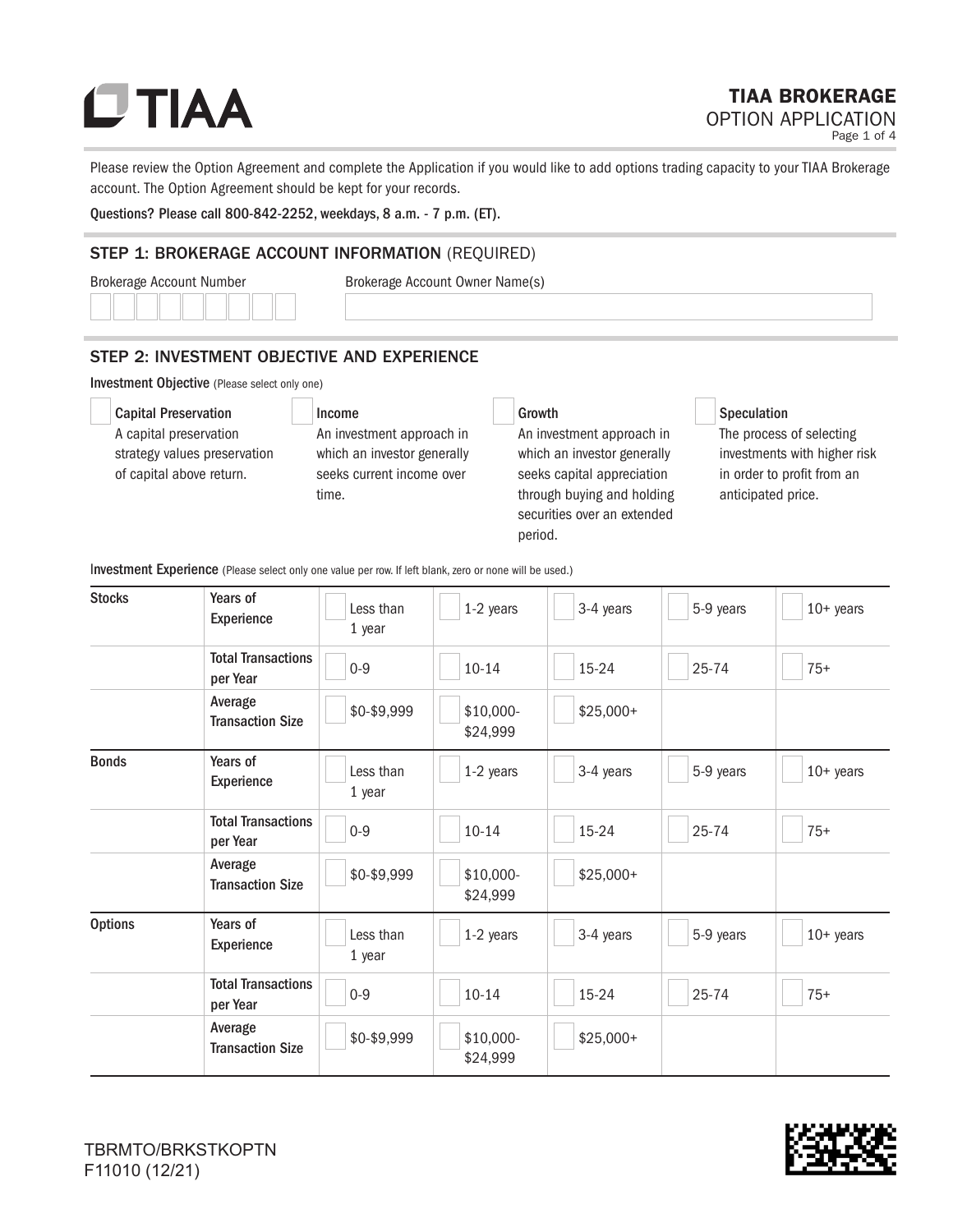Please review the Option Agreement and complete the Application if you would like to add options trading capacity to your TIAA Brokerage account. The Option Agreement should be kept for your records.

Questions? Please call 800-842-2252, weekdays, 8 a.m. - 7 p.m. (ET).

#### STEP 1: BROKERAGE ACCOUNT INFORMATION (REQUIRED)

Brokerage Account Number Brokerage Account Owner Name(s)

### STEP 2: INVESTMENT OBJECTIVE AND EXPERIENCE

Investment Objective (Please select only one)

 Capital Preservation A capital preservation strategy values preservation of capital above return.

Income

An investment approach in which an investor generally seeks current income over time.

#### Growth

An investment approach in which an investor generally seeks capital appreciation through buying and holding securities over an extended period.

#### Speculation

The process of selecting investments with higher risk in order to profit from an anticipated price.

Investment Experience (Please select only one value per row. If left blank, zero or none will be used.)

| <b>Stocks</b>  | Years of<br>Experience                | Less than<br>1 year | 1-2 years             | 3-4 years  | 5-9 years | $10+$ years |
|----------------|---------------------------------------|---------------------|-----------------------|------------|-----------|-------------|
|                | <b>Total Transactions</b><br>per Year | $0-9$               | $10 - 14$             | 15-24      | 25-74     | $75+$       |
|                | Average<br><b>Transaction Size</b>    | \$0-\$9,999         | \$10,000-<br>\$24,999 | $$25,000+$ |           |             |
| <b>Bonds</b>   | Years of<br>Experience                | Less than<br>1 year | 1-2 years             | 3-4 years  | 5-9 years | $10+$ years |
|                | <b>Total Transactions</b><br>per Year | $0-9$               | $10 - 14$             | 15-24      | 25-74     | $75+$       |
|                | Average<br><b>Transaction Size</b>    | \$0-\$9,999         | \$10,000-<br>\$24,999 | $$25,000+$ |           |             |
| <b>Options</b> | Years of<br>Experience                | Less than<br>1 year | 1-2 years             | 3-4 years  | 5-9 years | $10+$ years |
|                | <b>Total Transactions</b><br>per Year | $0-9$               | $10 - 14$             | 15-24      | $25 - 74$ | $75+$       |
|                | Average<br><b>Transaction Size</b>    | \$0-\$9,999         | \$10,000-<br>\$24,999 | $$25,000+$ |           |             |

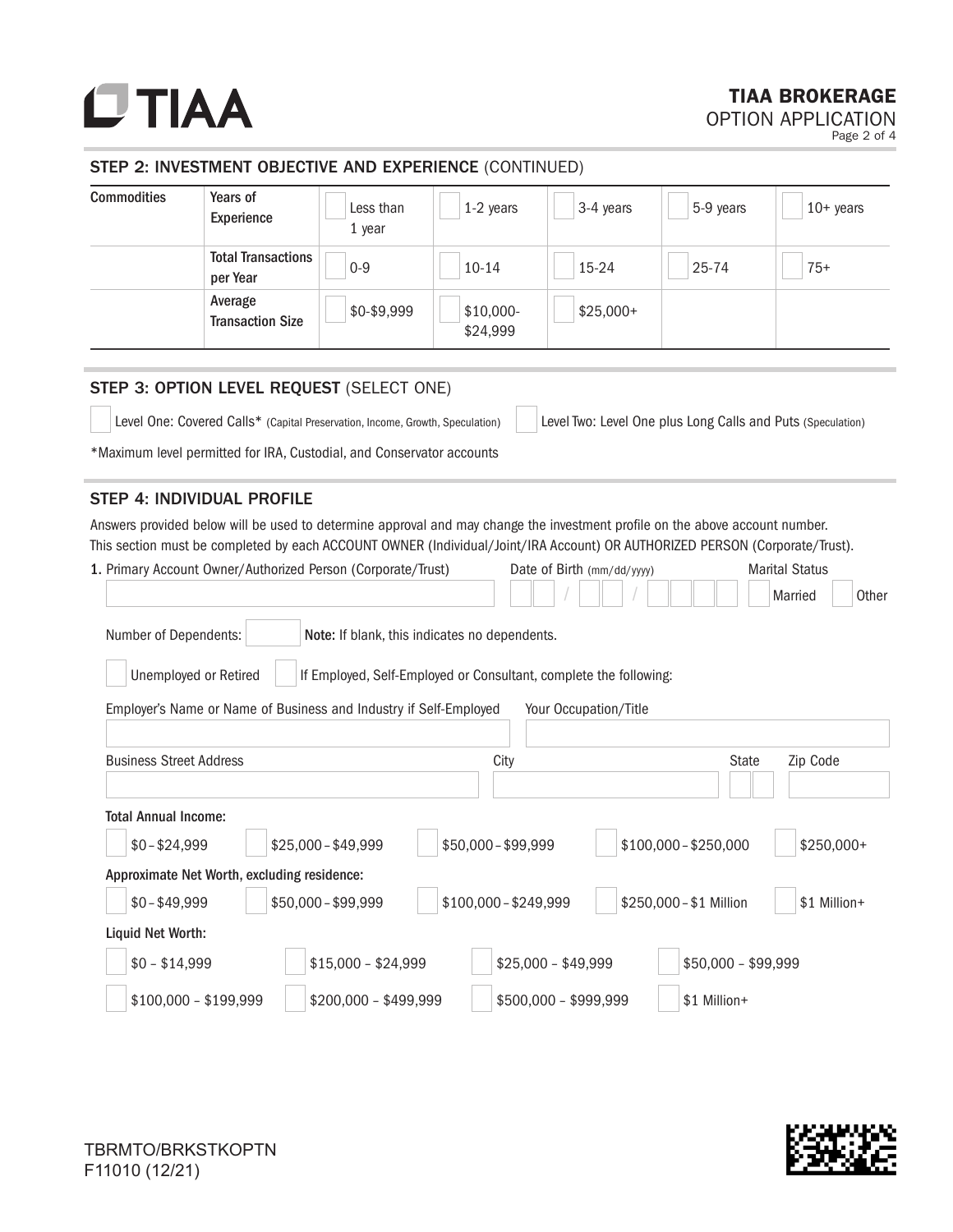# **UTIAA**

## TIAA BROKERAGE

OPTION APPLICATION Page 2 of 4

#### STEP 2: INVESTMENT OBJECTIVE AND EXPERIENCE (CONTINUED)

| <b>Commodities</b>                                                                         | Years of<br><b>Experience</b>                                                                                                                                                                                                                               | Less than<br>1 year                           | 1-2 years              | 3-4 years                                                   | 5-9 years | $10+$ years                               |
|--------------------------------------------------------------------------------------------|-------------------------------------------------------------------------------------------------------------------------------------------------------------------------------------------------------------------------------------------------------------|-----------------------------------------------|------------------------|-------------------------------------------------------------|-----------|-------------------------------------------|
|                                                                                            | <b>Total Transactions</b><br>per Year                                                                                                                                                                                                                       | $0 - 9$                                       | $10 - 14$              | 15-24                                                       | 25-74     | $75+$                                     |
|                                                                                            | Average<br><b>Transaction Size</b>                                                                                                                                                                                                                          | \$0-\$9,999                                   | $$10,000-$<br>\$24,999 | $$25,000+$                                                  |           |                                           |
|                                                                                            | STEP 3: OPTION LEVEL REQUEST (SELECT ONE)                                                                                                                                                                                                                   |                                               |                        |                                                             |           |                                           |
|                                                                                            | Level One: Covered Calls* (Capital Preservation, Income, Growth, Speculation)                                                                                                                                                                               |                                               |                        | Level Two: Level One plus Long Calls and Puts (Speculation) |           |                                           |
|                                                                                            | *Maximum level permitted for IRA, Custodial, and Conservator accounts                                                                                                                                                                                       |                                               |                        |                                                             |           |                                           |
|                                                                                            | STEP 4: INDIVIDUAL PROFILE                                                                                                                                                                                                                                  |                                               |                        |                                                             |           |                                           |
|                                                                                            | Answers provided below will be used to determine approval and may change the investment profile on the above account number.<br>This section must be completed by each ACCOUNT OWNER (Individual/Joint/IRA Account) OR AUTHORIZED PERSON (Corporate/Trust). |                                               |                        |                                                             |           |                                           |
|                                                                                            | 1. Primary Account Owner/Authorized Person (Corporate/Trust)                                                                                                                                                                                                |                                               |                        | Date of Birth (mm/dd/yyyy)                                  |           | <b>Marital Status</b><br>Married<br>Other |
| Number of Dependents:                                                                      |                                                                                                                                                                                                                                                             | Note: If blank, this indicates no dependents. |                        |                                                             |           |                                           |
| Unemployed or Retired<br>If Employed, Self-Employed or Consultant, complete the following: |                                                                                                                                                                                                                                                             |                                               |                        |                                                             |           |                                           |

|                                             | Employer's Name or Name of Business and Industry if Self-Employed | Your Occupation/Title |                         |                          |
|---------------------------------------------|-------------------------------------------------------------------|-----------------------|-------------------------|--------------------------|
| <b>Business Street Address</b>              |                                                                   | City                  |                         | <b>State</b><br>Zip Code |
| <b>Total Annual Income:</b>                 |                                                                   |                       |                         |                          |
| $$0 - $24,999$                              | $$25,000 - $49,999$                                               | $$50,000 - $99,999$   | $$100,000 - $250,000$   | \$250,000+               |
| Approximate Net Worth, excluding residence: |                                                                   |                       |                         |                          |
| $$0 - $49,999$                              | \$50,000 - \$99,999                                               | $$100,000 - $249,999$ | \$250,000 - \$1 Million | \$1 Million+             |
| Liquid Net Worth:                           |                                                                   |                       |                         |                          |
| $$0 - $14,999$                              | $$15,000 - $24,999$                                               | $$25,000 - $49,999$   |                         | $$50,000 - $99,999$      |
| $$100,000 - $199,999$                       | $$200,000 - $499,999$                                             | $$500,000 - $999,999$ | \$1 Million+            |                          |

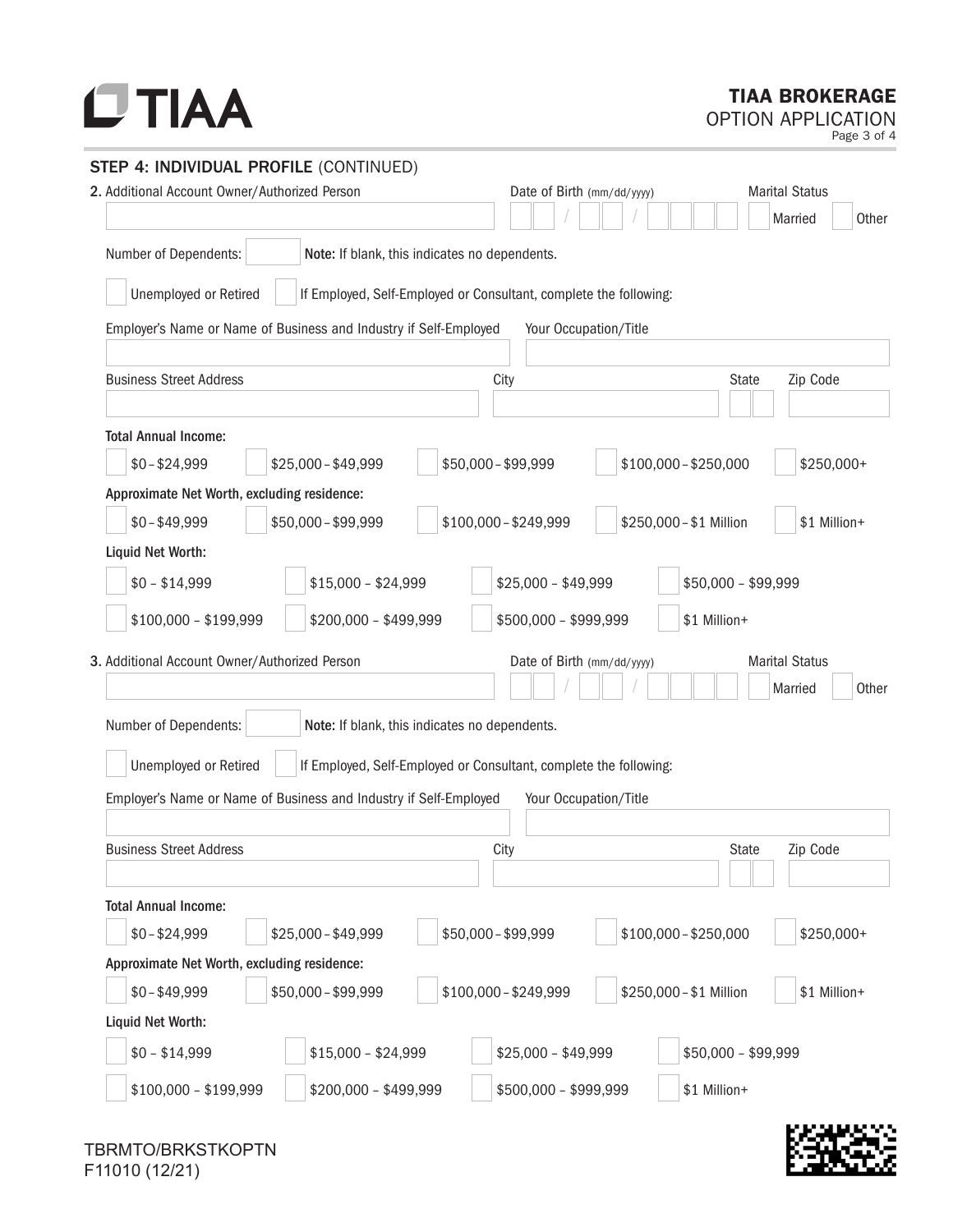### TIAA BROKERAGE

OPTION APPLICATION

Page 3 of 4

| STEP 4: INDIVIDUAL PROFILE (CONTINUED)                                 |                                                                         |
|------------------------------------------------------------------------|-------------------------------------------------------------------------|
| 2. Additional Account Owner/Authorized Person                          | <b>Marital Status</b><br>Date of Birth (mm/dd/yyyy)                     |
|                                                                        | Married<br>Other                                                        |
| Number of Dependents:<br>Note: If blank, this indicates no dependents. |                                                                         |
| Unemployed or Retired                                                  | If Employed, Self-Employed or Consultant, complete the following:       |
| Employer's Name or Name of Business and Industry if Self-Employed      | Your Occupation/Title                                                   |
|                                                                        |                                                                         |
| <b>Business Street Address</b>                                         | Zip Code<br>City<br><b>State</b>                                        |
| <b>Total Annual Income:</b>                                            |                                                                         |
| $$25,000 - $49,999$<br>$$0 - $24,999$                                  | \$50,000 - \$99,999<br>$$100,000 - $250,000$<br>\$250,000+              |
| Approximate Net Worth, excluding residence:                            |                                                                         |
| $$0 - $49,999$<br>\$50,000 - \$99,999                                  | \$100,000 - \$249,999<br>\$250,000 - \$1 Million<br>\$1 Million+        |
| Liquid Net Worth:                                                      |                                                                         |
| $$0 - $14,999$<br>$$15,000 - $24,999$                                  | $$25,000 - $49,999$<br>$$50,000 - $99,999$                              |
| \$200,000 - \$499,999<br>$$100,000 - $199,999$                         | \$500,000 - \$999,999<br>\$1 Million+                                   |
| 3. Additional Account Owner/Authorized Person                          | <b>Marital Status</b><br>Date of Birth (mm/dd/yyyy)<br>Other<br>Married |
| Number of Dependents:<br>Note: If blank, this indicates no dependents. |                                                                         |
| Unemployed or Retired                                                  | If Employed, Self-Employed or Consultant, complete the following:       |
| Employer's Name or Name of Business and Industry if Self-Employed      | Your Occupation/Title                                                   |
|                                                                        |                                                                         |
| <b>Business Street Address</b>                                         | Zip Code<br>City<br><b>State</b>                                        |
|                                                                        |                                                                         |
| <b>Total Annual Income:</b>                                            |                                                                         |
| $$0 - $24,999$<br>$$25,000 - $49,999$                                  | \$50,000 - \$99,999<br>$$100,000 - $250,000$<br>\$250,000+              |
| Approximate Net Worth, excluding residence:                            |                                                                         |
| \$50,000 - \$99,999<br>$$0 - $49,999$                                  | \$100,000-\$249,999<br>\$250,000 - \$1 Million<br>\$1 Million+          |
| Liquid Net Worth:                                                      |                                                                         |
| $$0 - $14,999$<br>$$15,000 - $24,999$                                  | $$25,000 - $49,999$<br>$$50,000 - $99,999$                              |
| $$100,000 - $199,999$<br>\$200,000 - \$499,999                         | \$500,000 - \$999,999<br>\$1 Million+                                   |

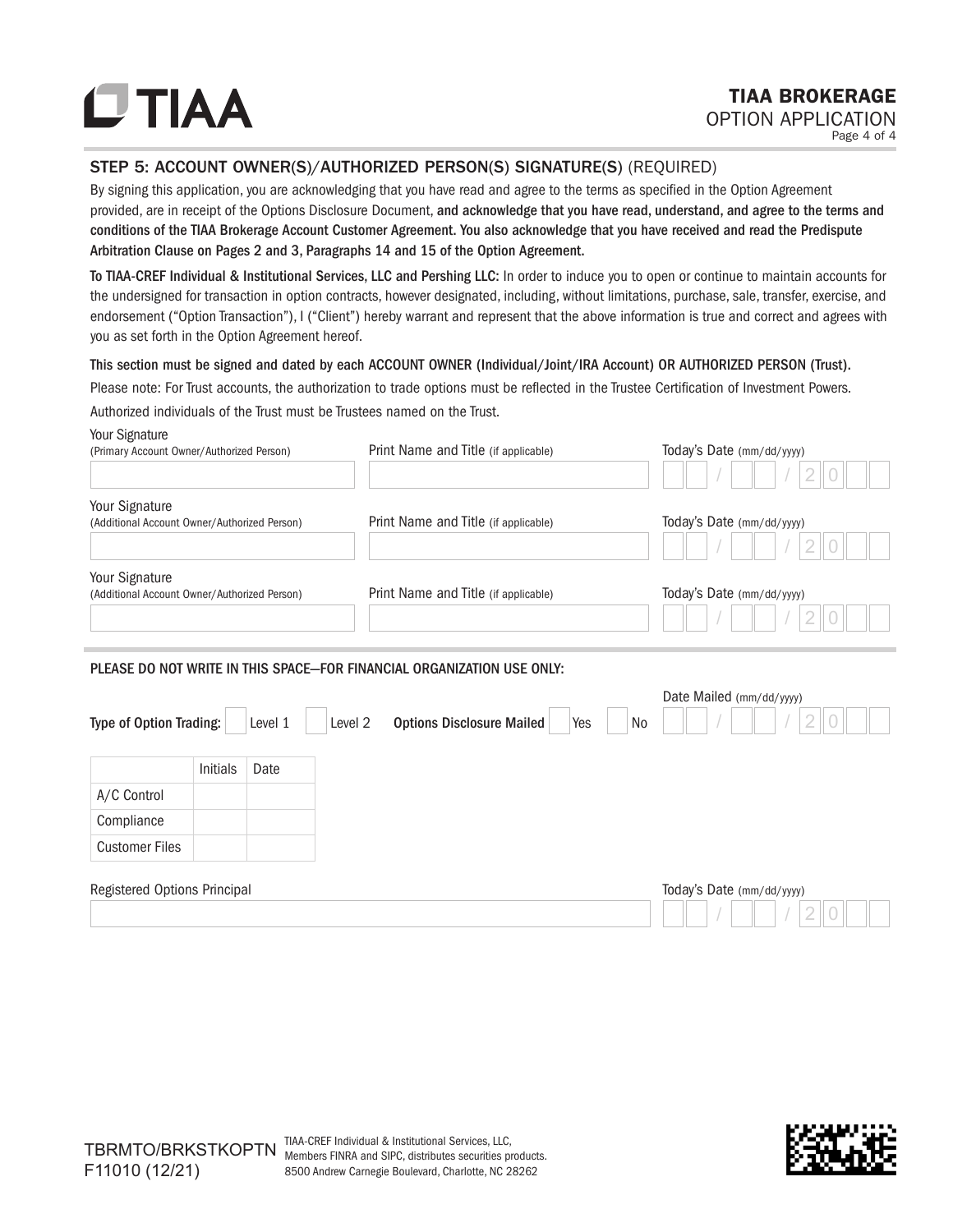### TIAA BROKERAGE OPTION APPLICATION

Page 4 of 4

#### STEP 5: ACCOUNT OWNER(S)/AUTHORIZED PERSON(S) SIGNATURE(S) (REQUIRED)

By signing this application, you are acknowledging that you have read and agree to the terms as specified in the Option Agreement provided, are in receipt of the Options Disclosure Document, and acknowledge that you have read, understand, and agree to the terms and conditions of the TIAA Brokerage Account Customer Agreement. You also acknowledge that you have received and read the Predispute Arbitration Clause on Pages 2 and 3, Paragraphs 14 and 15 of the Option Agreement.

To TIAA-CREF Individual & Institutional Services, LLC and Pershing LLC: In order to induce you to open or continue to maintain accounts for the undersigned for transaction in option contracts, however designated, including, without limitations, purchase, sale, transfer, exercise, and endorsement ("Option Transaction"), I ("Client") hereby warrant and represent that the above information is true and correct and agrees with you as set forth in the Option Agreement hereof.

This section must be signed and dated by each ACCOUNT OWNER (Individual/Joint/IRA Account) OR AUTHORIZED PERSON (Trust).

Please note: For Trust accounts, the authorization to trade options must be reflected in the Trustee Certification of Investment Powers. Authorized individuals of the Trust must be Trustees named on the Trust.

#### Your Signature

Customer Files

| (Primary Account Owner/Authorized Person)                      |                 |         | Print Name and Title (if applicable)                                   | Today's Date (mm/dd/yyyy)      |
|----------------------------------------------------------------|-----------------|---------|------------------------------------------------------------------------|--------------------------------|
| Your Signature<br>(Additional Account Owner/Authorized Person) |                 |         | Print Name and Title (if applicable)                                   | Today's Date (mm/dd/yyyy)      |
|                                                                |                 |         |                                                                        |                                |
| Your Signature<br>(Additional Account Owner/Authorized Person) |                 |         | Print Name and Title (if applicable)                                   | Today's Date (mm/dd/yyyy)      |
|                                                                |                 |         | PLEASE DO NOT WRITE IN THIS SPACE-FOR FINANCIAL ORGANIZATION USE ONLY: |                                |
| <b>Type of Option Trading:</b>                                 |                 | Level 1 | <b>Options Disclosure Mailed</b><br>Level 2<br>Yes                     | Date Mailed (mm/dd/yyyy)<br>No |
|                                                                | <b>Initials</b> | Date    |                                                                        |                                |
| A/C Control                                                    |                 |         |                                                                        |                                |
| Compliance                                                     |                 |         |                                                                        |                                |

| Registered Options Principal | loday's Date (mm/dd/yyyy) |
|------------------------------|---------------------------|
|                              |                           |

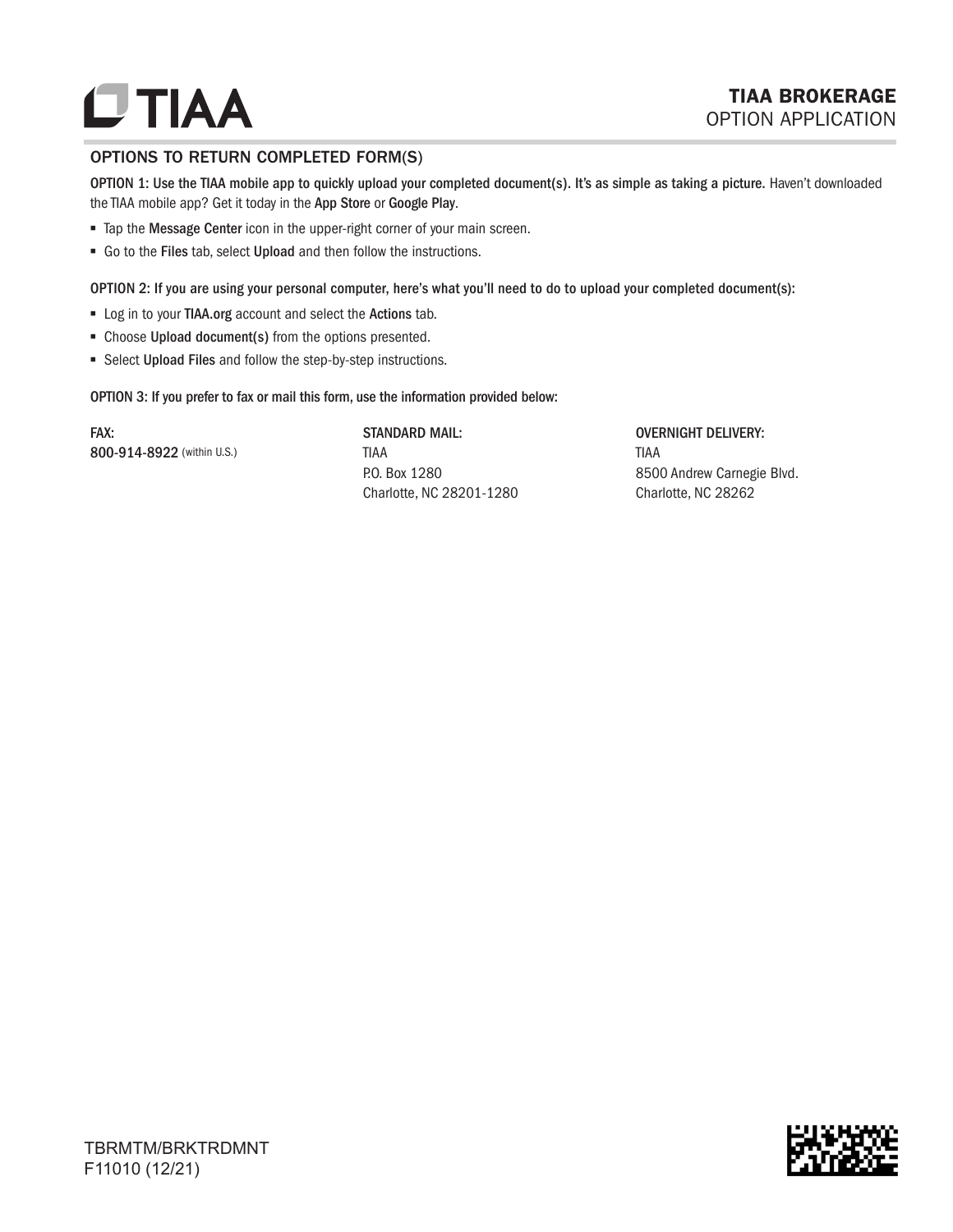# **UTIAA**

#### OPTIONS TO RETURN COMPLETED FORM(S)

OPTION 1: Use the TIAA mobile app to quickly upload your completed document(s). It's as simple as taking a picture. Haven't downloaded the TIAA mobile app? Get it today in the App Store or Google Play.

- Tap the Message Center icon in the upper-right corner of your main screen.
- Go to the Files tab, select Upload and then follow the instructions.

OPTION 2: If you are using your personal computer, here's what you'll need to do to upload your completed document(s):

- Log in to your TIAA.org account and select the Actions tab.
- Choose Upload document(s) from the options presented.
- Select Upload Files and follow the step-by-step instructions.

OPTION 3: If you prefer to fax or mail this form, use the information provided below:

FAX: 800-914-8922 (within U.S.) STANDARD MAIL: TIAA P.O. Box 1280 Charlotte, NC 28201-1280

OVERNIGHT DELIVERY: TIAA 8500 Andrew Carnegie Blvd. Charlotte, NC 28262

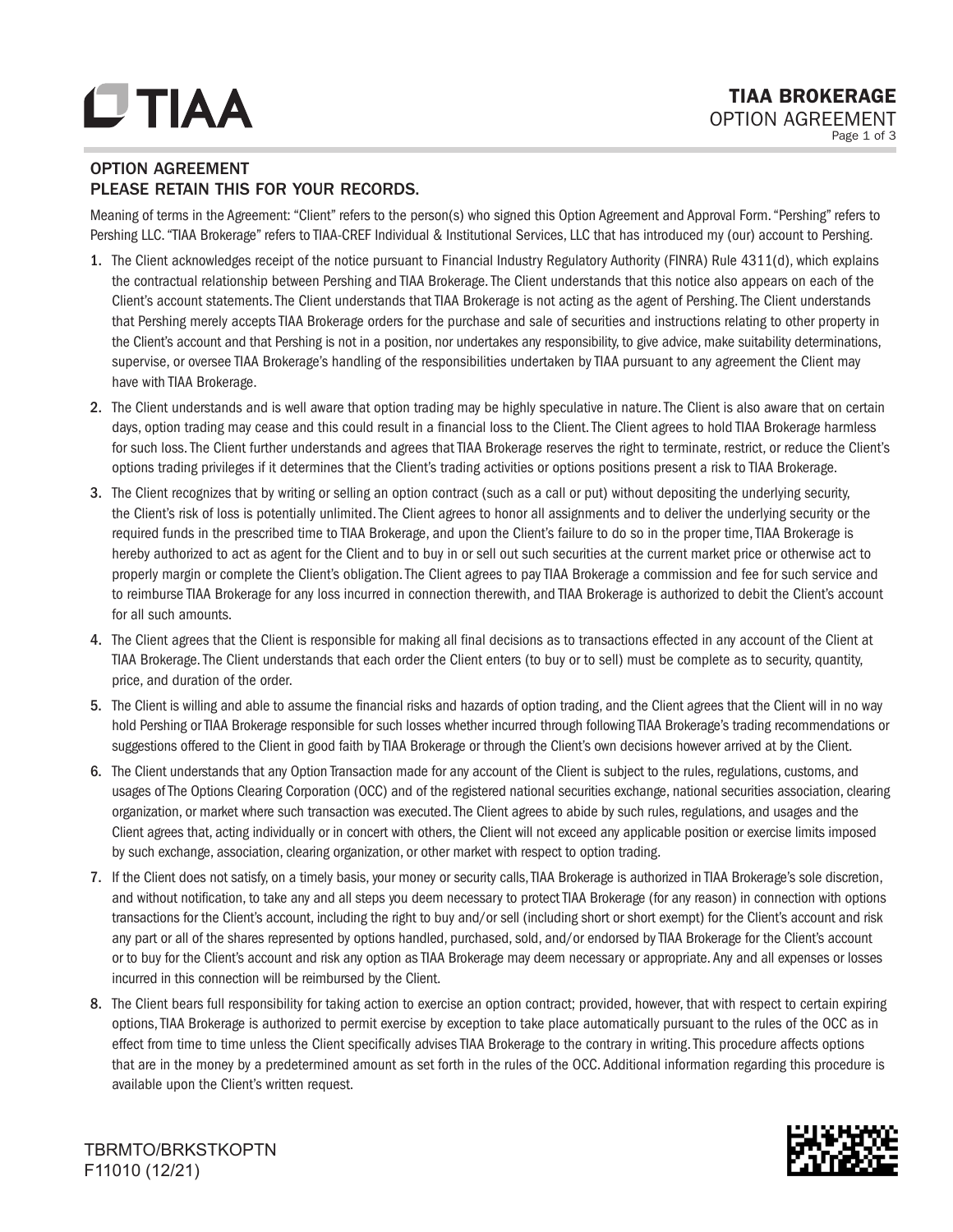### OPTION AGREEMENT PLEASE RETAIN THIS FOR YOUR RECORDS.

Meaning of terms in the Agreement: "Client" refers to the person(s) who signed this Option Agreement and Approval Form. "Pershing" refers to Pershing LLC. "TIAA Brokerage" refers to TIAA-CREF Individual & Institutional Services, LLC that has introduced my (our) account to Pershing.

- 1. The Client acknowledges receipt of the notice pursuant to Financial Industry Regulatory Authority (FINRA) Rule 4311(d), which explains the contractual relationship between Pershing and TIAA Brokerage. The Client understands that this notice also appears on each of the Client's account statements. The Client understands that TIAA Brokerage is not acting as the agent of Pershing. The Client understands that Pershing merely accepts TIAA Brokerage orders for the purchase and sale of securities and instructions relating to other property in the Client's account and that Pershing is not in a position, nor undertakes any responsibility, to give advice, make suitability determinations, supervise, or oversee TIAA Brokerage's handling of the responsibilities undertaken by TIAA pursuant to any agreement the Client may have with TIAA Brokerage.
- 2. The Client understands and is well aware that option trading may be highly speculative in nature. The Client is also aware that on certain days, option trading may cease and this could result in a financial loss to the Client. The Client agrees to hold TIAA Brokerage harmless for such loss. The Client further understands and agrees that TIAA Brokerage reserves the right to terminate, restrict, or reduce the Client's options trading privileges if it determines that the Client's trading activities or options positions present a risk to TIAA Brokerage.
- 3. The Client recognizes that by writing or selling an option contract (such as a call or put) without depositing the underlying security, the Client's risk of loss is potentially unlimited. The Client agrees to honor all assignments and to deliver the underlying security or the required funds in the prescribed time to TIAA Brokerage, and upon the Client's failure to do so in the proper time, TIAA Brokerage is hereby authorized to act as agent for the Client and to buy in or sell out such securities at the current market price or otherwise act to properly margin or complete the Client's obligation. The Client agrees to pay TIAA Brokerage a commission and fee for such service and to reimburse TIAA Brokerage for any loss incurred in connection therewith, and TIAA Brokerage is authorized to debit the Client's account for all such amounts.
- 4. The Client agrees that the Client is responsible for making all final decisions as to transactions effected in any account of the Client at TIAA Brokerage. The Client understands that each order the Client enters (to buy or to sell) must be complete as to security, quantity, price, and duration of the order.
- 5. The Client is willing and able to assume the financial risks and hazards of option trading, and the Client agrees that the Client will in no way hold Pershing or TIAA Brokerage responsible for such losses whether incurred through following TIAA Brokerage's trading recommendations or suggestions offered to the Client in good faith by TIAA Brokerage or through the Client's own decisions however arrived at by the Client.
- 6. The Client understands that any Option Transaction made for any account of the Client is subject to the rules, regulations, customs, and usages of The Options Clearing Corporation (OCC) and of the registered national securities exchange, national securities association, clearing organization, or market where such transaction was executed. The Client agrees to abide by such rules, regulations, and usages and the Client agrees that, acting individually or in concert with others, the Client will not exceed any applicable position or exercise limits imposed by such exchange, association, clearing organization, or other market with respect to option trading.
- 7. If the Client does not satisfy, on a timely basis, your money or security calls, TIAA Brokerage is authorized in TIAA Brokerage's sole discretion, and without notification, to take any and all steps you deem necessary to protect TIAA Brokerage (for any reason) in connection with options transactions for the Client's account, including the right to buy and/or sell (including short or short exempt) for the Client's account and risk any part or all of the shares represented by options handled, purchased, sold, and/or endorsed by TIAA Brokerage for the Client's account or to buy for the Client's account and risk any option as TIAA Brokerage may deem necessary or appropriate. Any and all expenses or losses incurred in this connection will be reimbursed by the Client.
- 8. The Client bears full responsibility for taking action to exercise an option contract; provided, however, that with respect to certain expiring options, TIAA Brokerage is authorized to permit exercise by exception to take place automatically pursuant to the rules of the OCC as in effect from time to time unless the Client specifically advises TIAA Brokerage to the contrary in writing. This procedure affects options that are in the money by a predetermined amount as set forth in the rules of the OCC. Additional information regarding this procedure is available upon the Client's written request.

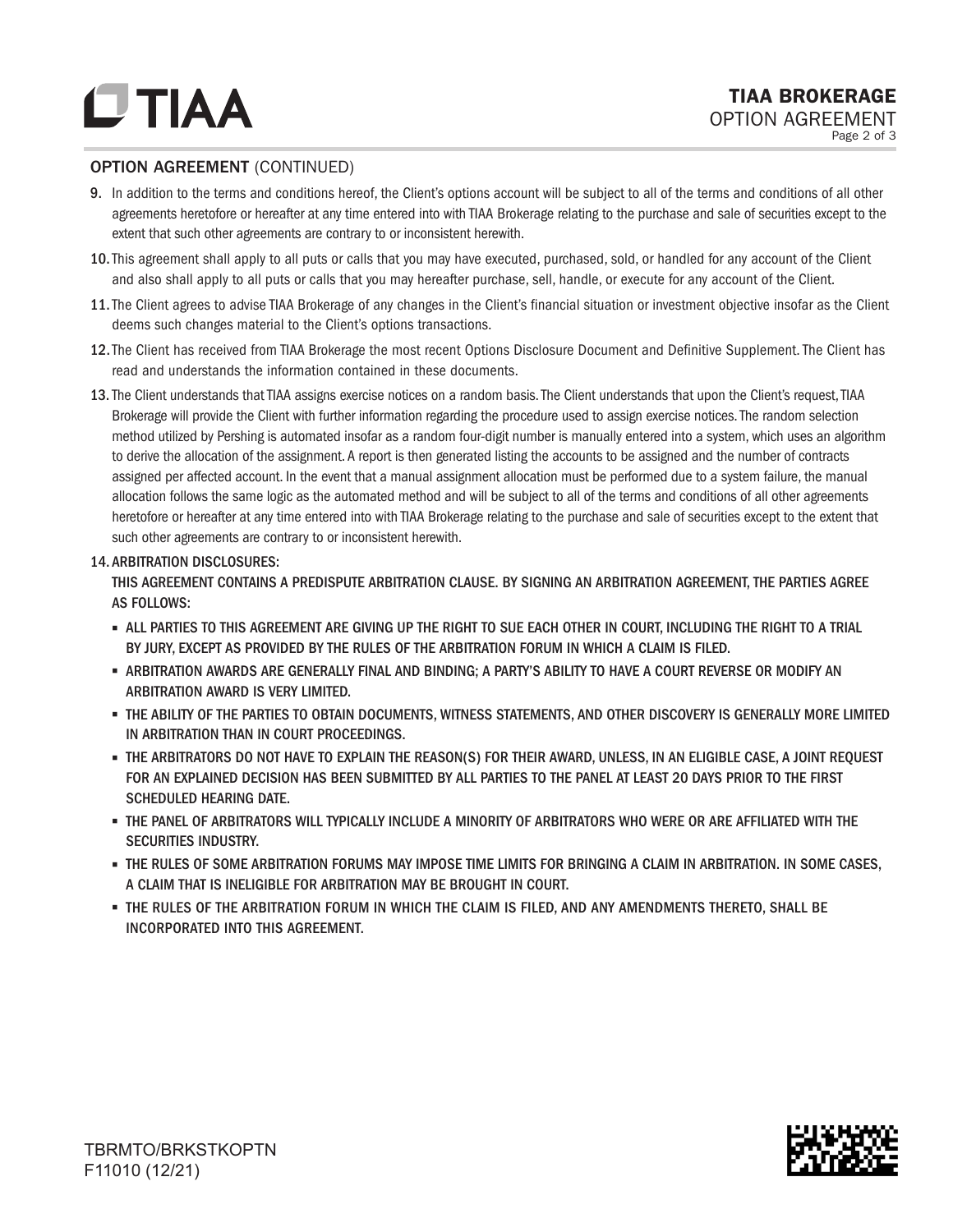#### OPTION AGREEMENT (CONTINUED)

- 9. In addition to the terms and conditions hereof, the Client's options account will be subject to all of the terms and conditions of all other agreements heretofore or hereafter at any time entered into with TIAA Brokerage relating to the purchase and sale of securities except to the extent that such other agreements are contrary to or inconsistent herewith.
- 10. This agreement shall apply to all puts or calls that you may have executed, purchased, sold, or handled for any account of the Client and also shall apply to all puts or calls that you may hereafter purchase, sell, handle, or execute for any account of the Client.
- 11. The Client agrees to advise TIAA Brokerage of any changes in the Client's financial situation or investment objective insofar as the Client deems such changes material to the Client's options transactions.
- 12. The Client has received from TIAA Brokerage the most recent Options Disclosure Document and Definitive Supplement. The Client has read and understands the information contained in these documents.
- 13. The Client understands that TIAA assigns exercise notices on a random basis. The Client understands that upon the Client's request, TIAA Brokerage will provide the Client with further information regarding the procedure used to assign exercise notices. The random selection method utilized by Pershing is automated insofar as a random four-digit number is manually entered into a system, which uses an algorithm to derive the allocation of the assignment. A report is then generated listing the accounts to be assigned and the number of contracts assigned per affected account. In the event that a manual assignment allocation must be performed due to a system failure, the manual allocation follows the same logic as the automated method and will be subject to all of the terms and conditions of all other agreements heretofore or hereafter at any time entered into with TIAA Brokerage relating to the purchase and sale of securities except to the extent that such other agreements are contrary to or inconsistent herewith.

#### 14. ARBITRATION DISCLOSURES:

THIS AGREEMENT CONTAINS A PREDISPUTE ARBITRATION CLAUSE. BY SIGNING AN ARBITRATION AGREEMENT, THE PARTIES AGREE AS FOLLOWS:

- ALL PARTIES TO THIS AGREEMENT ARE GIVING UP THE RIGHT TO SUE EACH OTHER IN COURT, INCLUDING THE RIGHT TO A TRIAL BY JURY, EXCEPT AS PROVIDED BY THE RULES OF THE ARBITRATION FORUM IN WHICH A CLAIM IS FILED.
- ARBITRATION AWARDS ARE GENERALLY FINAL AND BINDING; A PARTY'S ABILITY TO HAVE A COURT REVERSE OR MODIFY AN ARBITRATION AWARD IS VERY LIMITED.
- THE ABILITY OF THE PARTIES TO OBTAIN DOCUMENTS, WITNESS STATEMENTS, AND OTHER DISCOVERY IS GENERALLY MORE LIMITED IN ARBITRATION THAN IN COURT PROCEEDINGS.
- THE ARBITRATORS DO NOT HAVE TO EXPLAIN THE REASON(S) FOR THEIR AWARD, UNLESS, IN AN ELIGIBLE CASE, A JOINT REQUEST FOR AN EXPLAINED DECISION HAS BEEN SUBMITTED BY ALL PARTIES TO THE PANEL AT LEAST 20 DAYS PRIOR TO THE FIRST SCHEDULED HEARING DATE.
- THE PANEL OF ARBITRATORS WILL TYPICALLY INCLUDE A MINORITY OF ARBITRATORS WHO WERE OR ARE AFFILIATED WITH THE SECURITIES INDUSTRY.
- THE RULES OF SOME ARBITRATION FORUMS MAY IMPOSE TIME LIMITS FOR BRINGING A CLAIM IN ARBITRATION. IN SOME CASES, A CLAIM THAT IS INELIGIBLE FOR ARBITRATION MAY BE BROUGHT IN COURT.
- THE RULES OF THE ARBITRATION FORUM IN WHICH THE CLAIM IS FILED, AND ANY AMENDMENTS THERETO, SHALL BE INCORPORATED INTO THIS AGREEMENT.